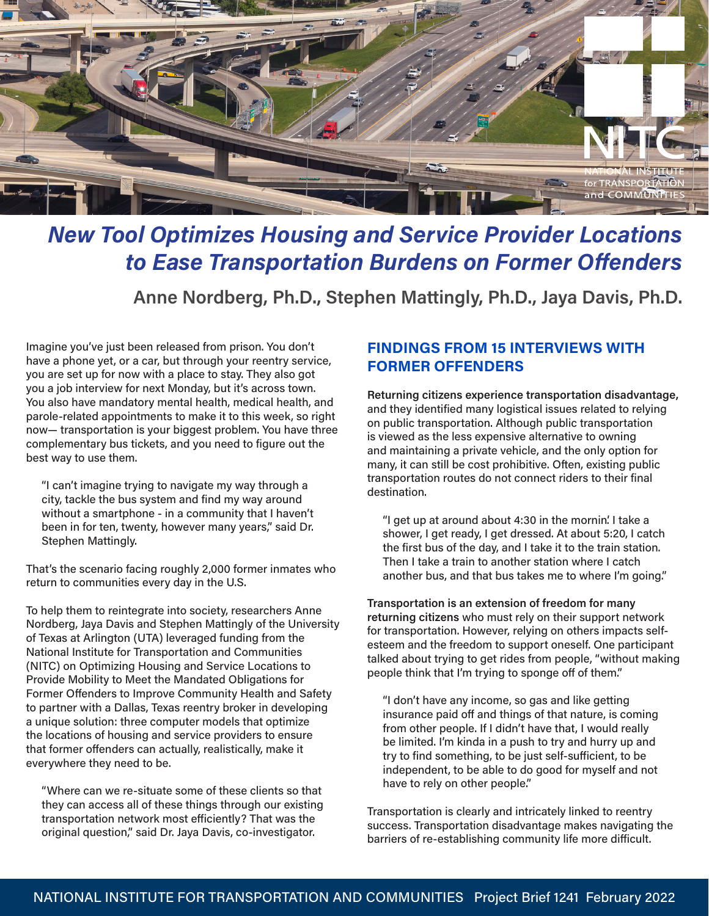

# *New Tool Optimizes Housing and Service Provider Locations to Ease Transportation Burdens on Former Offenders*

**Anne Nordberg, Ph.D., Stephen Mattingly, Ph.D., Jaya Davis, Ph.D.**

Imagine you've just been released from prison. You don't have a phone yet, or a car, but through your reentry service, you are set up for now with a place to stay. They also got you a job interview for next Monday, but it's across town. You also have mandatory mental health, medical health, and parole-related appointments to make it to this week, so right now— transportation is your biggest problem. You have three complementary bus tickets, and you need to figure out the best way to use them.

"I can't imagine trying to navigate my way through a city, tackle the bus system and find my way around without a smartphone - in a community that I haven't been in for ten, twenty, however many years," said Dr. Stephen Mattingly.

That's the scenario facing roughly 2,000 former inmates who return to communities every day in the U.S.

To help them to reintegrate into society, researchers Anne Nordberg, Jaya Davis and Stephen Mattingly of the University of Texas at Arlington (UTA) leveraged funding from the National Institute for Transportation and Communities (NITC) on Optimizing Housing and Service Locations to Provide Mobility to Meet the Mandated Obligations for Former Offenders to Improve Community Health and Safety to partner with a Dallas, Texas reentry broker in developing a unique solution: three computer models that optimize the locations of housing and service providers to ensure that former offenders can actually, realistically, make it everywhere they need to be.

"Where can we re-situate some of these clients so that they can access all of these things through our existing transportation network most efficiently? That was the original question," said Dr. Jaya Davis, co-investigator.

# **FINDINGS FROM 15 INTERVIEWS WITH FORMER OFFENDERS**

**Returning citizens experience transportation disadvantage,** and they identified many logistical issues related to relying on public transportation. Although public transportation is viewed as the less expensive alternative to owning and maintaining a private vehicle, and the only option for many, it can still be cost prohibitive. Often, existing public transportation routes do not connect riders to their final destination.

"I get up at around about 4:30 in the mornin'. I take a shower, I get ready, I get dressed. At about 5:20, I catch the first bus of the day, and I take it to the train station. Then I take a train to another station where I catch another bus, and that bus takes me to where I'm going."

**Transportation is an extension of freedom for many returning citizens** who must rely on their support network for transportation. However, relying on others impacts selfesteem and the freedom to support oneself. One participant talked about trying to get rides from people, "without making people think that I'm trying to sponge off of them."

"I don't have any income, so gas and like getting insurance paid off and things of that nature, is coming from other people. If I didn't have that, I would really be limited. I'm kinda in a push to try and hurry up and try to find something, to be just self-sufficient, to be independent, to be able to do good for myself and not have to rely on other people."

Transportation is clearly and intricately linked to reentry success. Transportation disadvantage makes navigating the barriers of re-establishing community life more difficult.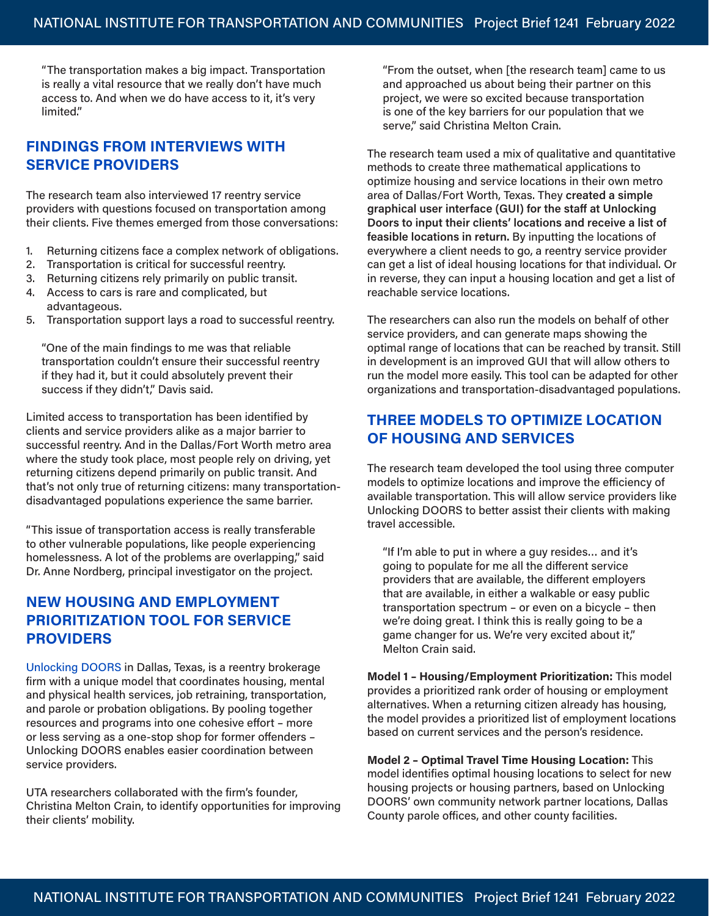"The transportation makes a big impact. Transportation is really a vital resource that we really don't have much access to. And when we do have access to it, it's very limited."

# **FINDINGS FROM INTERVIEWS WITH SERVICE PROVIDERS**

The research team also interviewed 17 reentry service providers with questions focused on transportation among their clients. Five themes emerged from those conversations:

- 1. Returning citizens face a complex network of obligations.
- 2. Transportation is critical for successful reentry.
- 3. Returning citizens rely primarily on public transit.
- 4. Access to cars is rare and complicated, but advantageous.
- 5. Transportation support lays a road to successful reentry.

"One of the main findings to me was that reliable transportation couldn't ensure their successful reentry if they had it, but it could absolutely prevent their success if they didn't," Davis said.

Limited access to transportation has been identified by clients and service providers alike as a major barrier to successful reentry. And in the Dallas/Fort Worth metro area where the study took place, most people rely on driving, yet returning citizens depend primarily on public transit. And that's not only true of returning citizens: many transportationdisadvantaged populations experience the same barrier.

"This issue of transportation access is really transferable to other vulnerable populations, like people experiencing homelessness. A lot of the problems are overlapping," said Dr. Anne Nordberg, principal investigator on the project.

# **NEW HOUSING AND EMPLOYMENT PRIORITIZATION TOOL FOR SERVICE PROVIDERS**

[Unlocking DOORS](https://www.unlockingdoors.org/mission-and-vision.html) in Dallas, Texas, is a reentry brokerage firm with a unique model that coordinates housing, mental and physical health services, job retraining, transportation, and parole or probation obligations. By pooling together resources and programs into one cohesive effort – more or less serving as a one-stop shop for former offenders – Unlocking DOORS enables easier coordination between service providers.

UTA researchers collaborated with the firm's founder, Christina Melton Crain, to identify opportunities for improving their clients' mobility.

"From the outset, when [the research team] came to us and approached us about being their partner on this project, we were so excited because transportation is one of the key barriers for our population that we serve," said Christina Melton Crain.

The research team used a mix of qualitative and quantitative methods to create three mathematical applications to optimize housing and service locations in their own metro area of Dallas/Fort Worth, Texas. They **created a simple graphical user interface (GUI) for the staff at Unlocking Doors to input their clients' locations and receive a list of feasible locations in return.** By inputting the locations of everywhere a client needs to go, a reentry service provider can get a list of ideal housing locations for that individual. Or in reverse, they can input a housing location and get a list of reachable service locations.

The researchers can also run the models on behalf of other service providers, and can generate maps showing the optimal range of locations that can be reached by transit. Still in development is an improved GUI that will allow others to run the model more easily. This tool can be adapted for other organizations and transportation-disadvantaged populations.

# **THREE MODELS TO OPTIMIZE LOCATION OF HOUSING AND SERVICES**

The research team developed the tool using three computer models to optimize locations and improve the efficiency of available transportation. This will allow service providers like Unlocking DOORS to better assist their clients with making travel accessible.

"If I'm able to put in where a guy resides… and it's going to populate for me all the different service providers that are available, the different employers that are available, in either a walkable or easy public transportation spectrum – or even on a bicycle – then we're doing great. I think this is really going to be a game changer for us. We're very excited about it," Melton Crain said.

**Model 1 – Housing/Employment Prioritization:** This model provides a prioritized rank order of housing or employment alternatives. When a returning citizen already has housing, the model provides a prioritized list of employment locations based on current services and the person's residence.

**Model 2 – Optimal Travel Time Housing Location:** This model identifies optimal housing locations to select for new housing projects or housing partners, based on Unlocking DOORS' own community network partner locations, Dallas County parole offices, and other county facilities.